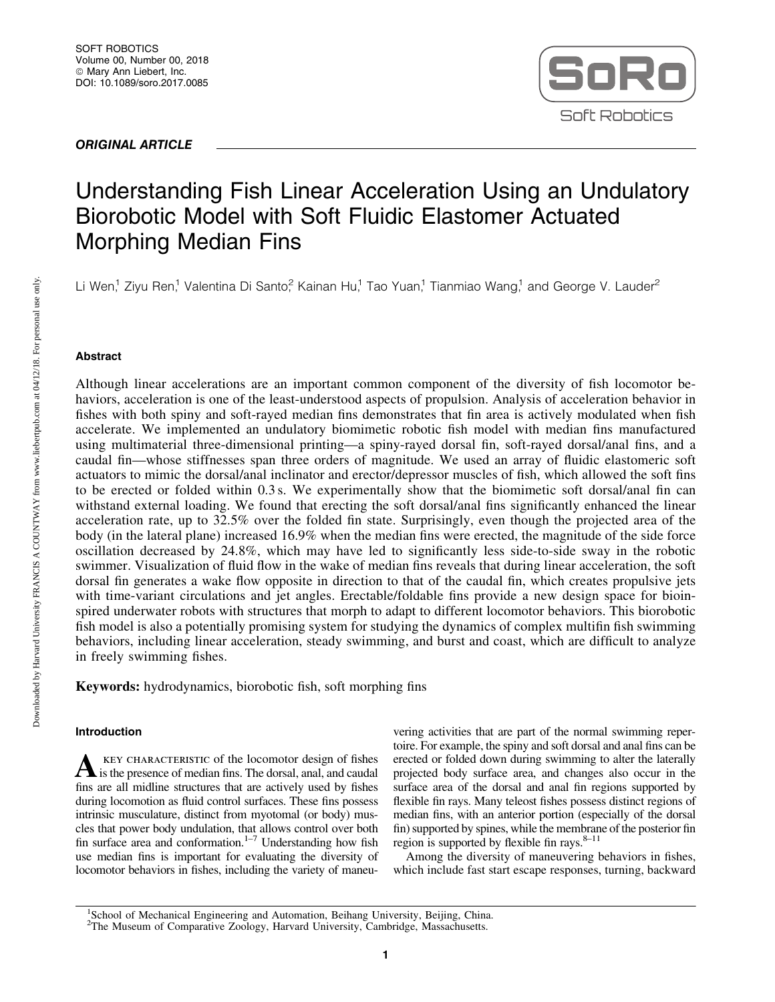# ORIGINAL ARTICLE



# Understanding Fish Linear Acceleration Using an Undulatory Biorobotic Model with Soft Fluidic Elastomer Actuated Morphing Median Fins

Li Wen,<sup>1</sup> Ziyu Ren,<sup>1</sup> Valentina Di Santo,<sup>2</sup> Kainan Hu,<sup>1</sup> Tao Yuan,<sup>1</sup> Tianmiao Wang,<sup>1</sup> and George V. Lauder<sup>2</sup>

# Abstract

Although linear accelerations are an important common component of the diversity of fish locomotor behaviors, acceleration is one of the least-understood aspects of propulsion. Analysis of acceleration behavior in fishes with both spiny and soft-rayed median fins demonstrates that fin area is actively modulated when fish accelerate. We implemented an undulatory biomimetic robotic fish model with median fins manufactured using multimaterial three-dimensional printing—a spiny-rayed dorsal fin, soft-rayed dorsal/anal fins, and a caudal fin—whose stiffnesses span three orders of magnitude. We used an array of fluidic elastomeric soft actuators to mimic the dorsal/anal inclinator and erector/depressor muscles of fish, which allowed the soft fins to be erected or folded within 0.3 s. We experimentally show that the biomimetic soft dorsal/anal fin can withstand external loading. We found that erecting the soft dorsal/anal fins significantly enhanced the linear acceleration rate, up to 32.5% over the folded fin state. Surprisingly, even though the projected area of the body (in the lateral plane) increased 16.9% when the median fins were erected, the magnitude of the side force oscillation decreased by 24.8%, which may have led to significantly less side-to-side sway in the robotic swimmer. Visualization of fluid flow in the wake of median fins reveals that during linear acceleration, the soft dorsal fin generates a wake flow opposite in direction to that of the caudal fin, which creates propulsive jets with time-variant circulations and jet angles. Erectable/foldable fins provide a new design space for bioinspired underwater robots with structures that morph to adapt to different locomotor behaviors. This biorobotic fish model is also a potentially promising system for studying the dynamics of complex multifin fish swimming behaviors, including linear acceleration, steady swimming, and burst and coast, which are difficult to analyze in freely swimming fishes.

Keywords: hydrodynamics, biorobotic fish, soft morphing fins

# Introduction

A KEY CHARACTERISTIC of the locomotor design of fishes<br>is the presence of median fins. The dorsal, anal, and caudal fins are all midline structures that are actively used by fishes during locomotion as fluid control surfaces. These fins possess intrinsic musculature, distinct from myotomal (or body) muscles that power body undulation, that allows control over both fin surface area and conformation. $1-7$  Understanding how fish use median fins is important for evaluating the diversity of locomotor behaviors in fishes, including the variety of maneu-

vering activities that are part of the normal swimming repertoire. For example, the spiny and soft dorsal and anal fins can be erected or folded down during swimming to alter the laterally projected body surface area, and changes also occur in the surface area of the dorsal and anal fin regions supported by flexible fin rays. Many teleost fishes possess distinct regions of median fins, with an anterior portion (especially of the dorsal fin) supported by spines, while the membrane of the posterior fin region is supported by flexible fin rays. $8-11$ 

Among the diversity of maneuvering behaviors in fishes, which include fast start escape responses, turning, backward

Downloaded by Harvard University FRANCIS A COUNTWAY from www.liebertpub.com at 04/12/18. For personal use only.

Downloaded by Harvard University FRANCIS A COUNTWAY from www.liebertpub.com at 04/12/18. For personal use only,

<sup>&</sup>lt;sup>1</sup>School of Mechanical Engineering and Automation, Beihang University, Beijing, China.<br><sup>2</sup>The Museum of Comparative Zoology, Harvard University, Cambridge, Massachusetts.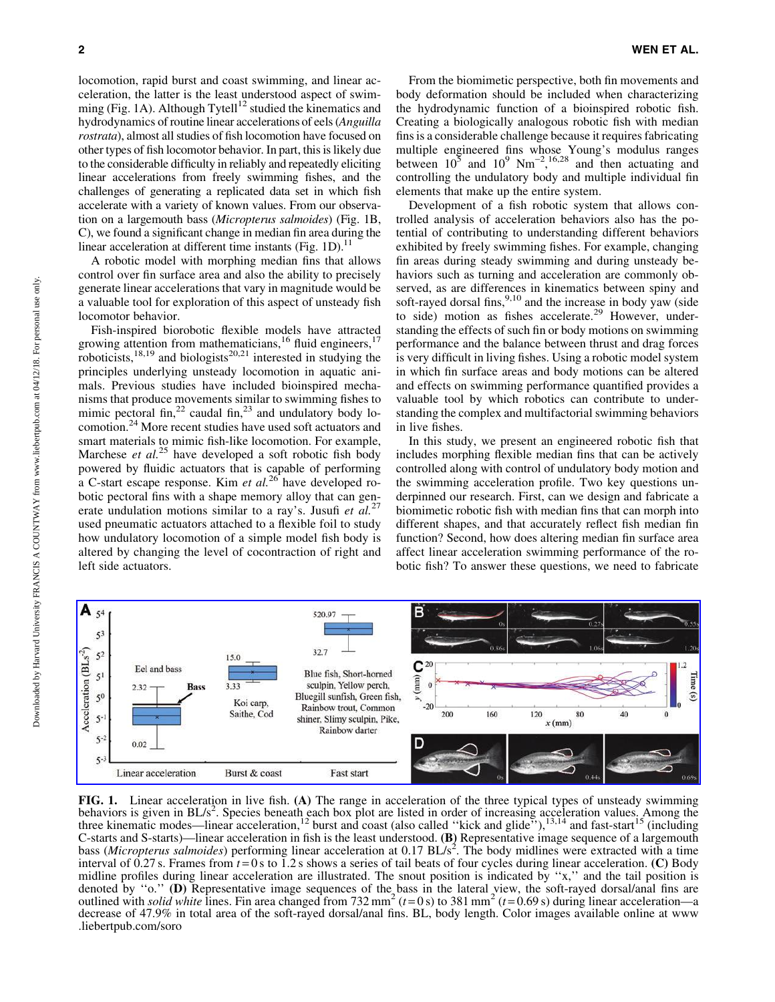locomotion, rapid burst and coast swimming, and linear acceleration, the latter is the least understood aspect of swimming (Fig. 1A). Although Tytell<sup>12</sup> studied the kinematics and hydrodynamics of routine linear accelerations of eels (*Anguilla rostrata*), almost all studies of fish locomotion have focused on other types of fish locomotor behavior. In part, this is likely due to the considerable difficulty in reliably and repeatedly eliciting linear accelerations from freely swimming fishes, and the challenges of generating a replicated data set in which fish accelerate with a variety of known values. From our observation on a largemouth bass (*Micropterus salmoides*) (Fig. 1B, C), we found a significant change in median fin area during the linear acceleration at different time instants (Fig. 1D). $<sup>11</sup>$ </sup>

A robotic model with morphing median fins that allows control over fin surface area and also the ability to precisely generate linear accelerations that vary in magnitude would be a valuable tool for exploration of this aspect of unsteady fish locomotor behavior.

Fish-inspired biorobotic flexible models have attracted growing attention from mathematicians,<sup>16</sup> fluid engineers,<sup>17</sup> roboticists,<sup>18,19</sup> and biologists<sup>20,21</sup> interested in studying the principles underlying unsteady locomotion in aquatic animals. Previous studies have included bioinspired mechanisms that produce movements similar to swimming fishes to mimic pectoral fin,<sup>22</sup> caudal fin,<sup>23</sup> and undulatory body locomotion.<sup>24</sup> More recent studies have used soft actuators and smart materials to mimic fish-like locomotion. For example, Marchese *et al.*<sup>25</sup> have developed a soft robotic fish body powered by fluidic actuators that is capable of performing a C-start escape response. Kim *et al.*<sup>26</sup> have developed robotic pectoral fins with a shape memory alloy that can generate undulation motions similar to a ray's. Jusufi *et al.*<sup>27</sup> used pneumatic actuators attached to a flexible foil to study how undulatory locomotion of a simple model fish body is altered by changing the level of cocontraction of right and left side actuators.

From the biomimetic perspective, both fin movements and body deformation should be included when characterizing the hydrodynamic function of a bioinspired robotic fish. Creating a biologically analogous robotic fish with median fins is a considerable challenge because it requires fabricating multiple engineered fins whose Young's modulus ranges between  $10^5$  and  $10^9$  Nm<sup>-2</sup>,<sup>16,28</sup> and then actuating and controlling the undulatory body and multiple individual fin elements that make up the entire system.

Development of a fish robotic system that allows controlled analysis of acceleration behaviors also has the potential of contributing to understanding different behaviors exhibited by freely swimming fishes. For example, changing fin areas during steady swimming and during unsteady behaviors such as turning and acceleration are commonly observed, as are differences in kinematics between spiny and soft-rayed dorsal fins,  $9,10$  and the increase in body yaw (side to side) motion as fishes accelerate.<sup>29</sup> However, understanding the effects of such fin or body motions on swimming performance and the balance between thrust and drag forces is very difficult in living fishes. Using a robotic model system in which fin surface areas and body motions can be altered and effects on swimming performance quantified provides a valuable tool by which robotics can contribute to understanding the complex and multifactorial swimming behaviors in live fishes.

In this study, we present an engineered robotic fish that includes morphing flexible median fins that can be actively controlled along with control of undulatory body motion and the swimming acceleration profile. Two key questions underpinned our research. First, can we design and fabricate a biomimetic robotic fish with median fins that can morph into different shapes, and that accurately reflect fish median fin function? Second, how does altering median fin surface area affect linear acceleration swimming performance of the robotic fish? To answer these questions, we need to fabricate



FIG. 1. Linear acceleration in live fish. (A) The range in acceleration of the three typical types of unsteady swimming behaviors is given in BL/s<sup>2</sup>. Species beneath each box plot are listed in order of increasing acceleration values. Among the three kinematic modes—linear acceleration,<sup>12</sup> burst and coast (also called "kick and glide"),<sup></sup> C-starts and S-starts)—linear acceleration in fish is the least understood. (B) Representative image sequence of a largemouth bass (Micropterus salmoides) performing linear acceleration at 0.17 BL/s<sup>2</sup>. The body midlines were extracted with a time interval of  $\overline{0.27}$  s. Frames from  $t = 0$  s to 1.2 s shows a series of tail beats of four cycles during linear acceleration. (C) Body midline profiles during linear acceleration are illustrated. The snout position is indicated by ''x,'' and the tail position is denoted by "o." (D) Representative image sequences of the bass in the lateral view, the soft-rayed dorsal/anal fins are outlined with *solid white* lines. Fin area changed from 732 mm<sup>2</sup> ( $t = 0$  s) to 381 mm<sup>2</sup> ( $t = 0.69$  s) during linear acceleration—a decrease of 47.9% in total area of the soft-rayed dorsal/anal fins. BL, body length. Color images available online at www .liebertpub.com/soro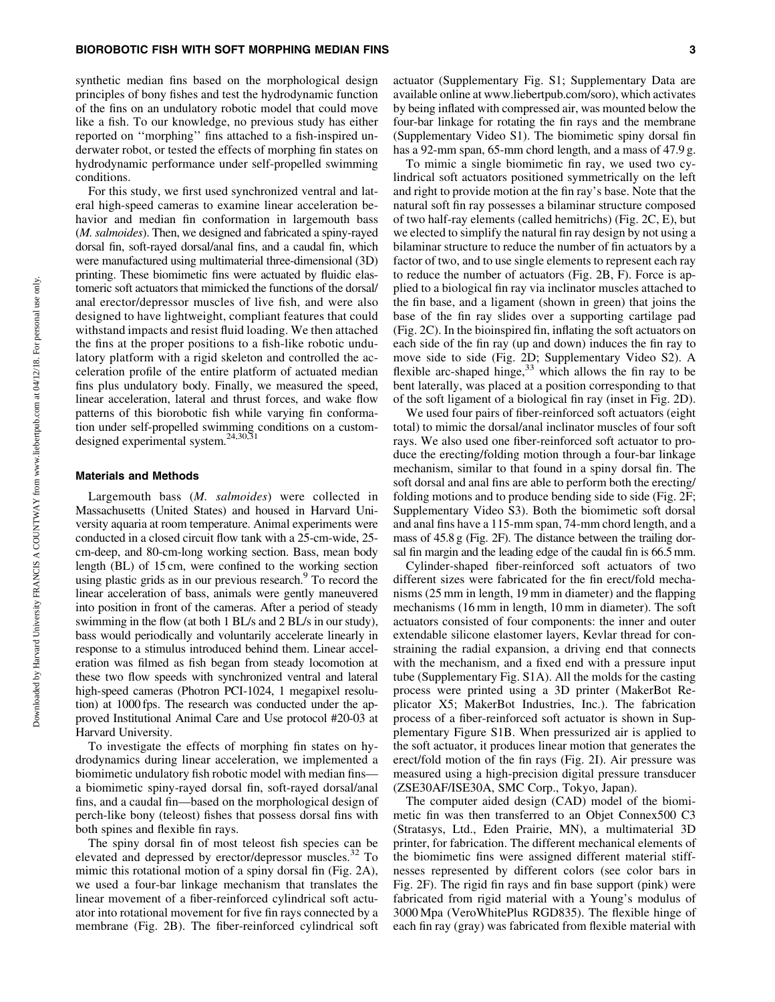synthetic median fins based on the morphological design principles of bony fishes and test the hydrodynamic function of the fins on an undulatory robotic model that could move like a fish. To our knowledge, no previous study has either reported on ''morphing'' fins attached to a fish-inspired underwater robot, or tested the effects of morphing fin states on hydrodynamic performance under self-propelled swimming conditions.

For this study, we first used synchronized ventral and lateral high-speed cameras to examine linear acceleration behavior and median fin conformation in largemouth bass (*M. salmoides*). Then, we designed and fabricated a spiny-rayed dorsal fin, soft-rayed dorsal/anal fins, and a caudal fin, which were manufactured using multimaterial three-dimensional (3D) printing. These biomimetic fins were actuated by fluidic elastomeric soft actuators that mimicked the functions of the dorsal/ anal erector/depressor muscles of live fish, and were also designed to have lightweight, compliant features that could withstand impacts and resist fluid loading. We then attached the fins at the proper positions to a fish-like robotic undulatory platform with a rigid skeleton and controlled the acceleration profile of the entire platform of actuated median fins plus undulatory body. Finally, we measured the speed, linear acceleration, lateral and thrust forces, and wake flow patterns of this biorobotic fish while varying fin conformation under self-propelled swimming conditions on a customdesigned experimental system.24,30,31

#### Materials and Methods

Largemouth bass (*M. salmoides*) were collected in Massachusetts (United States) and housed in Harvard University aquaria at room temperature. Animal experiments were conducted in a closed circuit flow tank with a 25-cm-wide, 25 cm-deep, and 80-cm-long working section. Bass, mean body length (BL) of 15 cm, were confined to the working section using plastic grids as in our previous research.<sup>9</sup> To record the linear acceleration of bass, animals were gently maneuvered into position in front of the cameras. After a period of steady swimming in the flow (at both 1 BL/s and 2 BL/s in our study), bass would periodically and voluntarily accelerate linearly in response to a stimulus introduced behind them. Linear acceleration was filmed as fish began from steady locomotion at these two flow speeds with synchronized ventral and lateral high-speed cameras (Photron PCI-1024, 1 megapixel resolution) at 1000 fps. The research was conducted under the approved Institutional Animal Care and Use protocol #20-03 at Harvard University.

To investigate the effects of morphing fin states on hydrodynamics during linear acceleration, we implemented a biomimetic undulatory fish robotic model with median fins a biomimetic spiny-rayed dorsal fin, soft-rayed dorsal/anal fins, and a caudal fin—based on the morphological design of perch-like bony (teleost) fishes that possess dorsal fins with both spines and flexible fin rays.

The spiny dorsal fin of most teleost fish species can be elevated and depressed by erector/depressor muscles.<sup>32</sup> To mimic this rotational motion of a spiny dorsal fin (Fig. 2A), we used a four-bar linkage mechanism that translates the linear movement of a fiber-reinforced cylindrical soft actuator into rotational movement for five fin rays connected by a membrane (Fig. 2B). The fiber-reinforced cylindrical soft

actuator (Supplementary Fig. S1; Supplementary Data are available online at www.liebertpub.com/soro), which activates by being inflated with compressed air, was mounted below the four-bar linkage for rotating the fin rays and the membrane (Supplementary Video S1). The biomimetic spiny dorsal fin has a 92-mm span, 65-mm chord length, and a mass of 47.9 g.

To mimic a single biomimetic fin ray, we used two cylindrical soft actuators positioned symmetrically on the left and right to provide motion at the fin ray's base. Note that the natural soft fin ray possesses a bilaminar structure composed of two half-ray elements (called hemitrichs) (Fig. 2C, E), but we elected to simplify the natural fin ray design by not using a bilaminar structure to reduce the number of fin actuators by a factor of two, and to use single elements to represent each ray to reduce the number of actuators (Fig. 2B, F). Force is applied to a biological fin ray via inclinator muscles attached to the fin base, and a ligament (shown in green) that joins the base of the fin ray slides over a supporting cartilage pad (Fig. 2C). In the bioinspired fin, inflating the soft actuators on each side of the fin ray (up and down) induces the fin ray to move side to side (Fig. 2D; Supplementary Video S2). A flexible arc-shaped hinge,  $33$  which allows the fin ray to be bent laterally, was placed at a position corresponding to that of the soft ligament of a biological fin ray (inset in Fig. 2D).

We used four pairs of fiber-reinforced soft actuators (eight total) to mimic the dorsal/anal inclinator muscles of four soft rays. We also used one fiber-reinforced soft actuator to produce the erecting/folding motion through a four-bar linkage mechanism, similar to that found in a spiny dorsal fin. The soft dorsal and anal fins are able to perform both the erecting/ folding motions and to produce bending side to side (Fig. 2F; Supplementary Video S3). Both the biomimetic soft dorsal and anal fins have a 115-mm span, 74-mm chord length, and a mass of 45.8 g (Fig. 2F). The distance between the trailing dorsal fin margin and the leading edge of the caudal fin is 66.5 mm.

Cylinder-shaped fiber-reinforced soft actuators of two different sizes were fabricated for the fin erect/fold mechanisms (25 mm in length, 19 mm in diameter) and the flapping mechanisms (16 mm in length, 10 mm in diameter). The soft actuators consisted of four components: the inner and outer extendable silicone elastomer layers, Kevlar thread for constraining the radial expansion, a driving end that connects with the mechanism, and a fixed end with a pressure input tube (Supplementary Fig. S1A). All the molds for the casting process were printed using a 3D printer (MakerBot Replicator X5; MakerBot Industries, Inc.). The fabrication process of a fiber-reinforced soft actuator is shown in Supplementary Figure S1B. When pressurized air is applied to the soft actuator, it produces linear motion that generates the erect/fold motion of the fin rays (Fig. 2I). Air pressure was measured using a high-precision digital pressure transducer (ZSE30AF/ISE30A, SMC Corp., Tokyo, Japan).

The computer aided design (CAD) model of the biomimetic fin was then transferred to an Objet Connex500 C3 (Stratasys, Ltd., Eden Prairie, MN), a multimaterial 3D printer, for fabrication. The different mechanical elements of the biomimetic fins were assigned different material stiffnesses represented by different colors (see color bars in Fig. 2F). The rigid fin rays and fin base support (pink) were fabricated from rigid material with a Young's modulus of 3000 Mpa (VeroWhitePlus RGD835). The flexible hinge of each fin ray (gray) was fabricated from flexible material with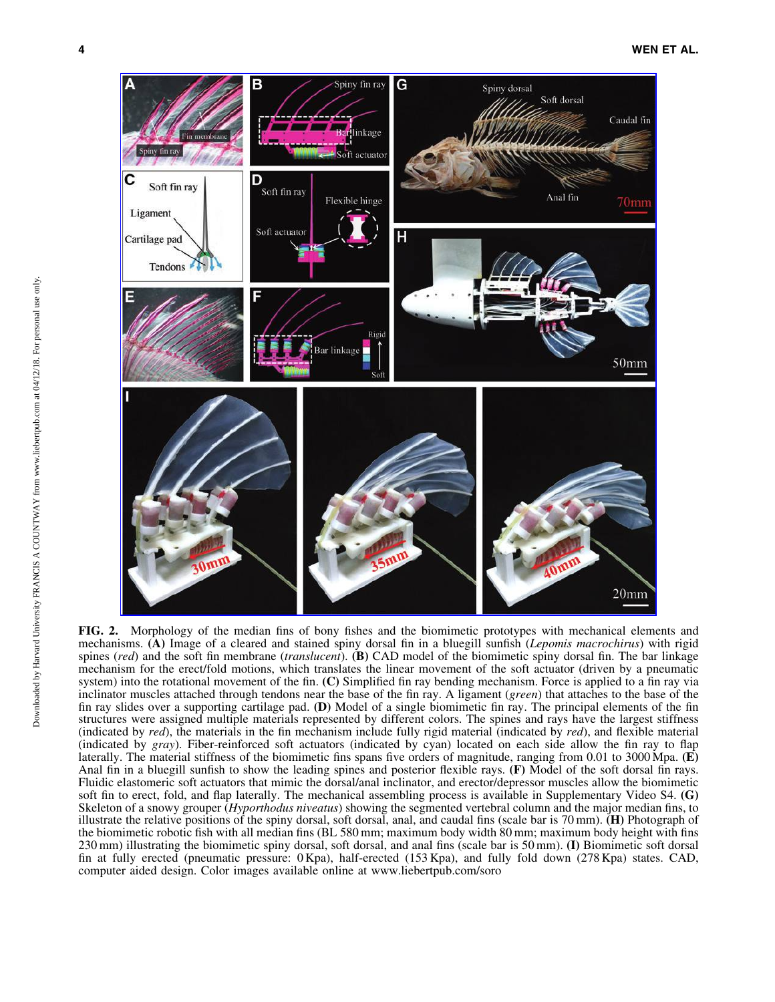

FIG. 2. Morphology of the median fins of bony fishes and the biomimetic prototypes with mechanical elements and mechanisms. (A) Image of a cleared and stained spiny dorsal fin in a bluegill sunfish (*Lepomis macrochirus*) with rigid spines (*red*) and the soft fin membrane (*translucent*). (B) CAD model of the biomimetic spiny dorsal fin. The bar linkage mechanism for the erect/fold motions, which translates the linear movement of the soft actuator (driven by a pneumatic system) into the rotational movement of the fin. (C) Simplified fin ray bending mechanism. Force is applied to a fin ray via inclinator muscles attached through tendons near the base of the fin ray. A ligament (*green*) that attaches to the base of the fin ray slides over a supporting cartilage pad. (D) Model of a single biomimetic fin ray. The principal elements of the fin structures were assigned multiple materials represented by different colors. The spines and rays have the largest stiffness (indicated by *red*), the materials in the fin mechanism include fully rigid material (indicated by *red*), and flexible material (indicated by *gray*). Fiber-reinforced soft actuators (indicated by cyan) located on each side allow the fin ray to flap laterally. The material stiffness of the biomimetic fins spans five orders of magnitude, ranging from 0.01 to 3000 Mpa.  $(E)$ Anal fin in a bluegill sunfish to show the leading spines and posterior flexible rays. (F) Model of the soft dorsal fin rays. Fluidic elastomeric soft actuators that mimic the dorsal/anal inclinator, and erector/depressor muscles allow the biomimetic soft fin to erect, fold, and flap laterally. The mechanical assembling process is available in Supplementary Video S4. (G) Skeleton of a snowy grouper (*Hyporthodus niveatus*) showing the segmented vertebral column and the major median fins, to illustrate the relative positions of the spiny dorsal, soft dorsal, anal, and caudal fins (scale bar is 70 mm). (H) Photograph of the biomimetic robotic fish with all median fins (BL 580 mm; maximum body width 80 mm; maximum body height with fins 230 mm) illustrating the biomimetic spiny dorsal, soft dorsal, and anal fins (scale bar is 50 mm). (I) Biomimetic soft dorsal fin at fully erected (pneumatic pressure: 0 Kpa), half-erected (153 Kpa), and fully fold down (278 Kpa) states. CAD, computer aided design. Color images available online at www.liebertpub.com/soro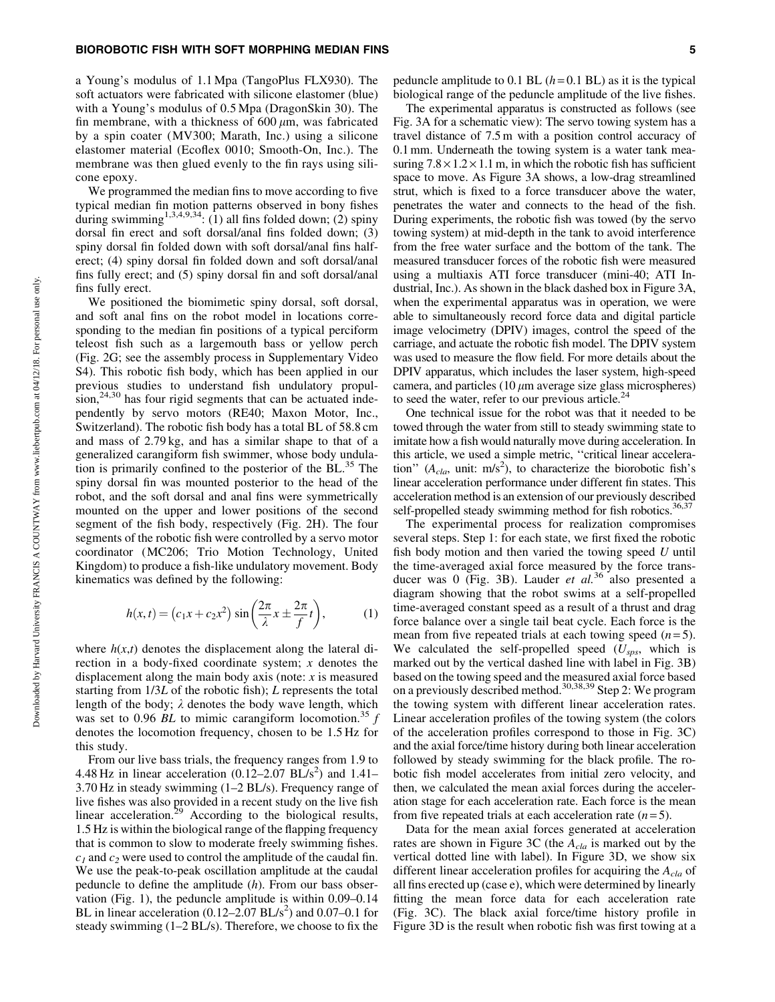#### BIOROBOTIC FISH WITH SOFT MORPHING MEDIAN FINS 5

a Young's modulus of 1.1 Mpa (TangoPlus FLX930). The soft actuators were fabricated with silicone elastomer (blue) with a Young's modulus of 0.5 Mpa (DragonSkin 30). The fin membrane, with a thickness of  $600 \mu m$ , was fabricated by a spin coater (MV300; Marath, Inc.) using a silicone elastomer material (Ecoflex 0010; Smooth-On, Inc.). The membrane was then glued evenly to the fin rays using silicone epoxy.

We programmed the median fins to move according to five typical median fin motion patterns observed in bony fishes during swimming<sup>1,3,4,9,34</sup>: (1) all fins folded down; (2) spiny dorsal fin erect and soft dorsal/anal fins folded down; (3) spiny dorsal fin folded down with soft dorsal/anal fins halferect; (4) spiny dorsal fin folded down and soft dorsal/anal fins fully erect; and (5) spiny dorsal fin and soft dorsal/anal fins fully erect.

We positioned the biomimetic spiny dorsal, soft dorsal, and soft anal fins on the robot model in locations corresponding to the median fin positions of a typical perciform teleost fish such as a largemouth bass or yellow perch (Fig. 2G; see the assembly process in Supplementary Video S4). This robotic fish body, which has been applied in our previous studies to understand fish undulatory propul- $\sin^{24,30}$  has four rigid segments that can be actuated independently by servo motors (RE40; Maxon Motor, Inc., Switzerland). The robotic fish body has a total BL of 58.8 cm and mass of 2.79 kg, and has a similar shape to that of a generalized carangiform fish swimmer, whose body undulation is primarily confined to the posterior of the  $BL^{35}$ . The spiny dorsal fin was mounted posterior to the head of the robot, and the soft dorsal and anal fins were symmetrically mounted on the upper and lower positions of the second segment of the fish body, respectively (Fig. 2H). The four segments of the robotic fish were controlled by a servo motor coordinator (MC206; Trio Motion Technology, United Kingdom) to produce a fish-like undulatory movement. Body kinematics was defined by the following:

$$
h(x,t) = (c_1x + c_2x^2) \sin\left(\frac{2\pi}{\lambda}x \pm \frac{2\pi}{f}t\right),
$$
 (1)

where  $h(x,t)$  denotes the displacement along the lateral direction in a body-fixed coordinate system; *x* denotes the displacement along the main body axis (note: *x* is measured starting from 1/3*L* of the robotic fish); *L* represents the total length of the body;  $\lambda$  denotes the body wave length, which was set to 0.96 *BL* to mimic carangiform locomotion.<sup>35</sup> *f* denotes the locomotion frequency, chosen to be 1.5 Hz for this study.

From our live bass trials, the frequency ranges from 1.9 to 4.48 Hz in linear acceleration  $(0.12-2.07 \text{ BL/s}^2)$  and  $1.41-$ 3.70 Hz in steady swimming (1–2 BL/s). Frequency range of live fishes was also provided in a recent study on the live fish linear acceleration.<sup>29</sup> According to the biological results, 1.5 Hz is within the biological range of the flapping frequency that is common to slow to moderate freely swimming fishes.  $c_1$  and  $c_2$  were used to control the amplitude of the caudal fin. We use the peak-to-peak oscillation amplitude at the caudal peduncle to define the amplitude (*h*). From our bass observation (Fig. 1), the peduncle amplitude is within 0.09–0.14 BL in linear acceleration  $(0.12-2.07$  BL/s<sup>2</sup>) and  $0.07-0.1$  for steady swimming (1–2 BL/s). Therefore, we choose to fix the

peduncle amplitude to  $0.1$  BL  $(h=0.1$  BL) as it is the typical biological range of the peduncle amplitude of the live fishes.

The experimental apparatus is constructed as follows (see Fig. 3A for a schematic view): The servo towing system has a travel distance of 7.5 m with a position control accuracy of 0.1 mm. Underneath the towing system is a water tank measuring  $7.8 \times 1.2 \times 1.1$  m, in which the robotic fish has sufficient space to move. As Figure 3A shows, a low-drag streamlined strut, which is fixed to a force transducer above the water, penetrates the water and connects to the head of the fish. During experiments, the robotic fish was towed (by the servo towing system) at mid-depth in the tank to avoid interference from the free water surface and the bottom of the tank. The measured transducer forces of the robotic fish were measured using a multiaxis ATI force transducer (mini-40; ATI Industrial, Inc.). As shown in the black dashed box in Figure 3A, when the experimental apparatus was in operation, we were able to simultaneously record force data and digital particle image velocimetry (DPIV) images, control the speed of the carriage, and actuate the robotic fish model. The DPIV system was used to measure the flow field. For more details about the DPIV apparatus, which includes the laser system, high-speed camera, and particles  $(10 \mu m)$  average size glass microspheres) to seed the water, refer to our previous article. $2<sup>2</sup>$ 

One technical issue for the robot was that it needed to be towed through the water from still to steady swimming state to imitate how a fish would naturally move during acceleration. In this article, we used a simple metric, ''critical linear acceleration"  $(A<sub>cla</sub>, unit: m/s<sup>2</sup>)$ , to characterize the biorobotic fish's linear acceleration performance under different fin states. This acceleration method is an extension of our previously described self-propelled steady swimming method for fish robotics.<sup>36,37</sup>

The experimental process for realization compromises several steps. Step 1: for each state, we first fixed the robotic fish body motion and then varied the towing speed *U* until the time-averaged axial force measured by the force transducer was 0 (Fig. 3B). Lauder *et al.*<sup>36</sup> also presented a diagram showing that the robot swims at a self-propelled time-averaged constant speed as a result of a thrust and drag force balance over a single tail beat cycle. Each force is the mean from five repeated trials at each towing speed  $(n=5)$ . We calculated the self-propelled speed (*Usps*, which is marked out by the vertical dashed line with label in Fig. 3B) based on the towing speed and the measured axial force based on a previously described method.30,38,39 Step 2: We program the towing system with different linear acceleration rates. Linear acceleration profiles of the towing system (the colors of the acceleration profiles correspond to those in Fig. 3C) and the axial force/time history during both linear acceleration followed by steady swimming for the black profile. The robotic fish model accelerates from initial zero velocity, and then, we calculated the mean axial forces during the acceleration stage for each acceleration rate. Each force is the mean from five repeated trials at each acceleration rate  $(n=5)$ .

Data for the mean axial forces generated at acceleration rates are shown in Figure 3C (the *Acla* is marked out by the vertical dotted line with label). In Figure 3D, we show six different linear acceleration profiles for acquiring the *Acla* of all fins erected up (case e), which were determined by linearly fitting the mean force data for each acceleration rate (Fig. 3C). The black axial force/time history profile in Figure 3D is the result when robotic fish was first towing at a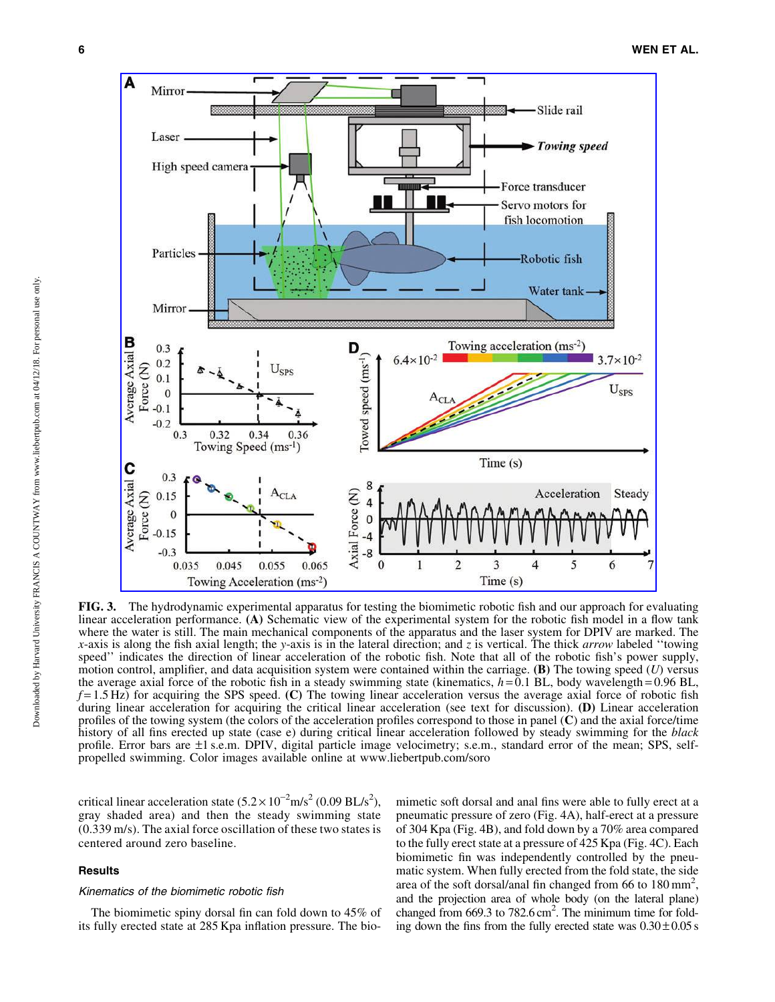

FIG. 3. The hydrodynamic experimental apparatus for testing the biomimetic robotic fish and our approach for evaluating linear acceleration performance. (A) Schematic view of the experimental system for the robotic fish model in a flow tank where the water is still. The main mechanical components of the apparatus and the laser system for DPIV are marked. The *x*-axis is along the fish axial length; the *y*-axis is in the lateral direction; and *z* is vertical. The thick *arrow* labeled ''towing speed'' indicates the direction of linear acceleration of the robotic fish. Note that all of the robotic fish's power supply, motion control, amplifier, and data acquisition system were contained within the carriage. (B) The towing speed (*U*) versus the average axial force of the robotic fish in a steady swimming state (kinematics,  $h = 0.1$  BL, body wavelength = 0.96 BL,  $f = 1.5$  Hz) for acquiring the SPS speed. (C) The towing linear acceleration versus the average axial force of robotic fish during linear acceleration for acquiring the critical linear acceleration (see text for discussion). **(D)** Linear acceleration profiles of the towing system (the colors of the acceleration profiles correspond to those in panel (C) and the axial force/time history of all fins erected up state (case e) during critical linear acceleration followed by steady swimming for the *black* profile. Error bars are –1 s.e.m. DPIV, digital particle image velocimetry; s.e.m., standard error of the mean; SPS, selfpropelled swimming. Color images available online at www.liebertpub.com/soro

critical linear acceleration state  $(5.2 \times 10^{-2} \text{m/s}^2 (0.09 \text{ BL/s}^2))$ gray shaded area) and then the steady swimming state (0.339 m/s). The axial force oscillation of these two states is centered around zero baseline.

#### **Results**

## Kinematics of the biomimetic robotic fish

The biomimetic spiny dorsal fin can fold down to 45% of its fully erected state at 285 Kpa inflation pressure. The biomimetic soft dorsal and anal fins were able to fully erect at a pneumatic pressure of zero (Fig. 4A), half-erect at a pressure of 304 Kpa (Fig. 4B), and fold down by a 70% area compared to the fully erect state at a pressure of 425 Kpa (Fig. 4C). Each biomimetic fin was independently controlled by the pneumatic system. When fully erected from the fold state, the side area of the soft dorsal/anal fin changed from 66 to  $180 \text{ mm}^2$ , and the projection area of whole body (on the lateral plane) changed from 669.3 to 782.6 cm<sup>2</sup>. The minimum time for folding down the fins from the fully erected state was  $0.30 \pm 0.05$  s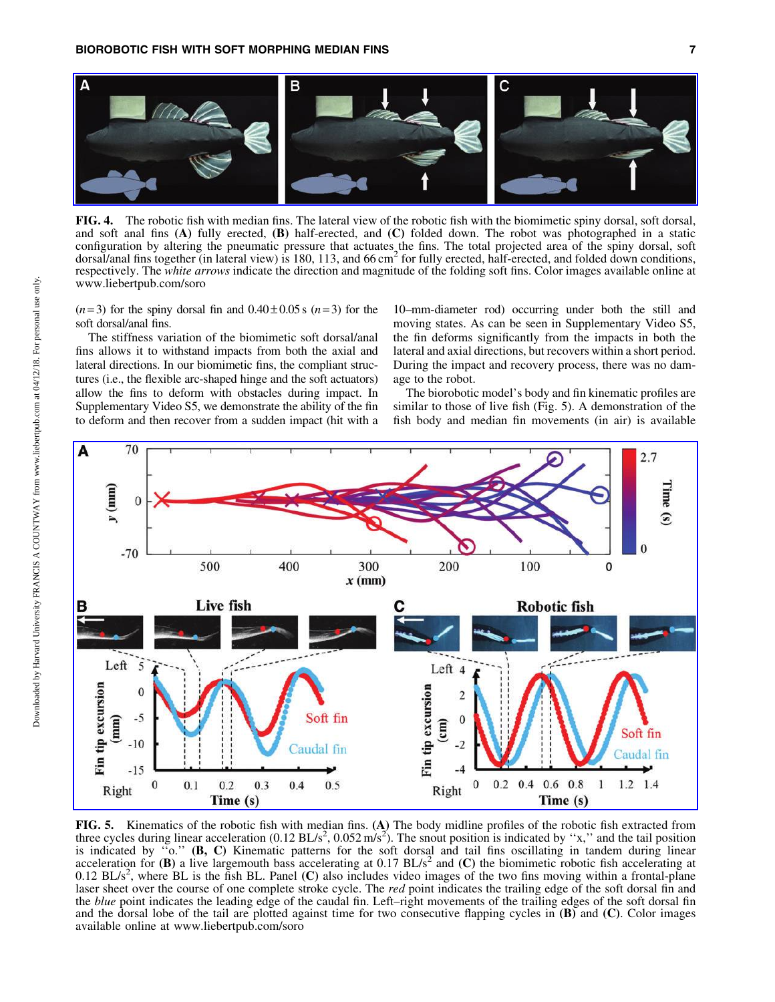

FIG. 4. The robotic fish with median fins. The lateral view of the robotic fish with the biomimetic spiny dorsal, soft dorsal, and soft anal fins  $(A)$  fully erected,  $(B)$  half-erected, and  $(C)$  folded down. The robot was photographed in a static configuration by altering the pneumatic pressure that actuates the fins. The total projected area of the spiny dorsal, soft dorsal/anal fins together (in lateral view) is 180, 113, and 66 cm<sup>2</sup> for fully erected, half-erected, and folded down conditions, respectively. The *white arrows* indicate the direction and magnitude of the folding soft fins. Color images available online at www.liebertpub.com/soro

 $(n=3)$  for the spiny dorsal fin and  $0.40 \pm 0.05$  s  $(n=3)$  for the soft dorsal/anal fins.

The stiffness variation of the biomimetic soft dorsal/anal fins allows it to withstand impacts from both the axial and lateral directions. In our biomimetic fins, the compliant structures (i.e., the flexible arc-shaped hinge and the soft actuators) allow the fins to deform with obstacles during impact. In Supplementary Video S5, we demonstrate the ability of the fin to deform and then recover from a sudden impact (hit with a

10–mm-diameter rod) occurring under both the still and moving states. As can be seen in Supplementary Video S5, the fin deforms significantly from the impacts in both the lateral and axial directions, but recovers within a short period. During the impact and recovery process, there was no damage to the robot.

The biorobotic model's body and fin kinematic profiles are similar to those of live fish (Fig. 5). A demonstration of the fish body and median fin movements (in air) is available



FIG. 5. Kinematics of the robotic fish with median fins. (A) The body midline profiles of the robotic fish extracted from three cycles during linear acceleration  $(0.12 \text{ BL/s}^2, 0.052 \text{ m/s}^2)$ . The snout position is indicated by "x," and the tail position is indicated by "o."  $(B, C)$  Kinematic patterns for the soft dorsal and tail fins oscillating in tandem during linear acceleration for  $(B)$  a live largemouth bass accelerating at 0.17 BL/s<sup>2</sup> and  $(C)$  the biomimetic robotic fish accelerating at  $0.12$  BL/s<sup>2</sup>, where BL is the fish BL. Panel (C) also includes video images of the two fins moving within a frontal-plane laser sheet over the course of one complete stroke cycle. The *red* point indicates the trailing edge of the soft dorsal fin and the *blue* point indicates the leading edge of the caudal fin. Left–right movements of the trailing edges of the soft dorsal fin and the dorsal lobe of the tail are plotted against time for two consecutive flapping cycles in  $(B)$  and  $(C)$ . Color images available online at www.liebertpub.com/soro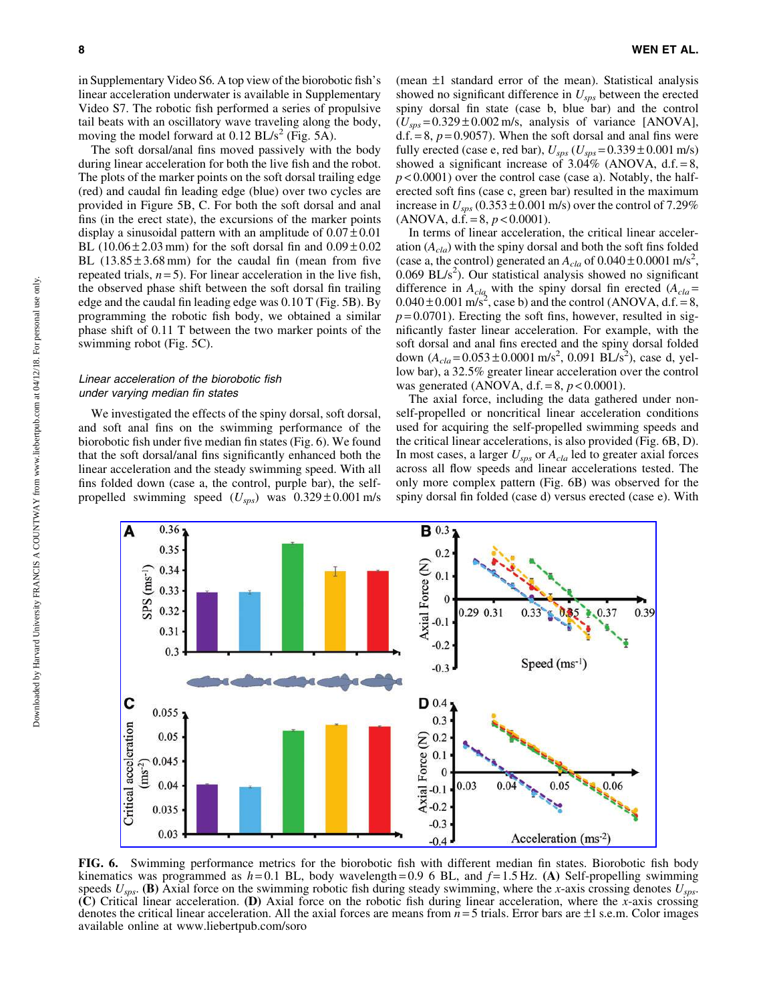in Supplementary Video S6. A top view of the biorobotic fish's linear acceleration underwater is available in Supplementary Video S7. The robotic fish performed a series of propulsive tail beats with an oscillatory wave traveling along the body, moving the model forward at  $0.12$  BL/s<sup>2</sup> (Fig. 5A).

The soft dorsal/anal fins moved passively with the body during linear acceleration for both the live fish and the robot. The plots of the marker points on the soft dorsal trailing edge (red) and caudal fin leading edge (blue) over two cycles are provided in Figure 5B, C. For both the soft dorsal and anal fins (in the erect state), the excursions of the marker points display a sinusoidal pattern with an amplitude of  $0.07 \pm 0.01$ BL (10.06 $\pm$ 2.03 mm) for the soft dorsal fin and  $0.09 \pm 0.02$ BL  $(13.85 \pm 3.68 \text{ mm})$  for the caudal fin (mean from five repeated trials,  $n = 5$ ). For linear acceleration in the live fish, the observed phase shift between the soft dorsal fin trailing edge and the caudal fin leading edge was 0.10 T (Fig. 5B). By programming the robotic fish body, we obtained a similar phase shift of 0.11 T between the two marker points of the swimming robot (Fig. 5C).

#### Linear acceleration of the biorobotic fish under varying median fin states

We investigated the effects of the spiny dorsal, soft dorsal, and soft anal fins on the swimming performance of the biorobotic fish under five median fin states (Fig. 6). We found that the soft dorsal/anal fins significantly enhanced both the linear acceleration and the steady swimming speed. With all fins folded down (case a, the control, purple bar), the selfpropelled swimming speed  $(U_{sps})$  was  $0.329 \pm 0.001$  m/s

(mean  $\pm 1$  standard error of the mean). Statistical analysis showed no significant difference in *Usps* between the erected spiny dorsal fin state (case b, blue bar) and the control  $(U_{sps} = 0.329 \pm 0.002 \text{ m/s}$ , analysis of variance [ANOVA],  $d.f. = 8, p = 0.9057$ . When the soft dorsal and anal fins were fully erected (case e, red bar),  $U_{sps}$  ( $U_{sps}$  = 0.339  $\pm$  0.001 m/s) showed a significant increase of  $3.04\%$  (ANOVA, d.f. = 8,  $p$  < 0.0001) over the control case (case a). Notably, the halferected soft fins (case c, green bar) resulted in the maximum increase in  $U_{sps}$  (0.353  $\pm$  0.001 m/s) over the control of 7.29%  $(ANOVA, d.f. = 8, p < 0.0001).$ 

In terms of linear acceleration, the critical linear acceleration (*Acla*) with the spiny dorsal and both the soft fins folded (case a, the control) generated an  $A_{cla}$  of  $0.040 \pm 0.0001$  m/s<sup>2</sup>,  $0.069$  BL/s<sup>2</sup>). Our statistical analysis showed no significant difference in  $A_{cla}$  with the spiny dorsal fin erected  $(A_{cla} =$  $0.040 \pm 0.001$  m/s<sup>2</sup>, case b) and the control (ANOVA, d.f. = 8,  $p = 0.0701$ ). Erecting the soft fins, however, resulted in significantly faster linear acceleration. For example, with the soft dorsal and anal fins erected and the spiny dorsal folded down  $(A_{cla} = 0.053 \pm 0.0001 \text{ m/s}^2, 0.091 \text{ B}L/s^2)$ , case d, yellow bar), a 32.5% greater linear acceleration over the control was generated (ANOVA, d.f. = 8, *p* < 0.0001).

The axial force, including the data gathered under nonself-propelled or noncritical linear acceleration conditions used for acquiring the self-propelled swimming speeds and the critical linear accelerations, is also provided (Fig. 6B, D). In most cases, a larger  $U_{sps}$  or  $A_{cla}$  led to greater axial forces across all flow speeds and linear accelerations tested. The only more complex pattern (Fig. 6B) was observed for the spiny dorsal fin folded (case d) versus erected (case e). With



FIG. 6. Swimming performance metrics for the biorobotic fish with different median fin states. Biorobotic fish body kinematics was programmed as  $h = 0.1$  BL, body wavelength = 0.9 6 BL, and  $f = 1.5$  Hz. (A) Self-propelling swimming speeds *Usps*. (B) Axial force on the swimming robotic fish during steady swimming, where the *x*-axis crossing denotes *Usps*. (C) Critical linear acceleration. (D) Axial force on the robotic fish during linear acceleration, where the *x*-axis crossing denotes the critical linear acceleration. All the axial forces are means from *n* = 5 trials. Error bars are –1 s.e.m. Color images available online at www.liebertpub.com/soro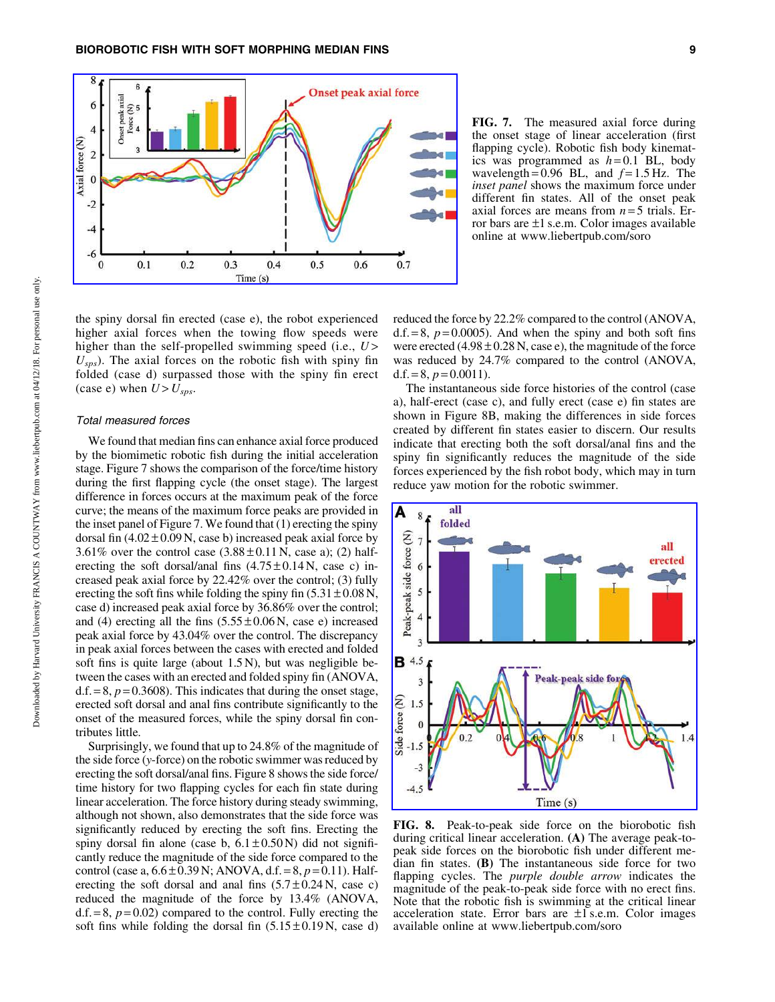

FIG. 7. The measured axial force during the onset stage of linear acceleration (first flapping cycle). Robotic fish body kinematics was programmed as  $h = 0.1$  BL, body wavelength =  $0.96$  BL, and  $f = 1.5$  Hz. The *inset panel* shows the maximum force under different fin states. All of the onset peak axial forces are means from *n* = 5 trials. Error bars are  $\pm 1$  s.e.m. Color images available online at www.liebertpub.com/soro

the spiny dorsal fin erected (case e), the robot experienced higher axial forces when the towing flow speeds were higher than the self-propelled swimming speed (i.e.,  $U$ )  $U_{\rm sys}$ ). The axial forces on the robotic fish with spiny fin folded (case d) surpassed those with the spiny fin erect (case e) when  $U > U_{sps}$ .

#### Total measured forces

We found that median fins can enhance axial force produced by the biomimetic robotic fish during the initial acceleration stage. Figure 7 shows the comparison of the force/time history during the first flapping cycle (the onset stage). The largest difference in forces occurs at the maximum peak of the force curve; the means of the maximum force peaks are provided in the inset panel of Figure 7. We found that (1) erecting the spiny dorsal fin  $(4.02 \pm 0.09 \text{ N})$ , case b) increased peak axial force by 3.61% over the control case  $(3.88 \pm 0.11 \text{ N}, \text{case a})$ ; (2) halferecting the soft dorsal/anal fins  $(4.75 \pm 0.14 \text{ N}, \text{ case c})$  increased peak axial force by 22.42% over the control; (3) fully erecting the soft fins while folding the spiny fin  $(5.31 \pm 0.08 \text{ N},$ case d) increased peak axial force by 36.86% over the control; and (4) erecting all the fins  $(5.55 \pm 0.06 \text{ N}, \text{ case e})$  increased peak axial force by 43.04% over the control. The discrepancy in peak axial forces between the cases with erected and folded soft fins is quite large (about 1.5 N), but was negligible between the cases with an erected and folded spiny fin (ANOVA,  $d.f. = 8$ ,  $p = 0.3608$ ). This indicates that during the onset stage, erected soft dorsal and anal fins contribute significantly to the onset of the measured forces, while the spiny dorsal fin contributes little.

Surprisingly, we found that up to 24.8% of the magnitude of the side force (*y*-force) on the robotic swimmer was reduced by erecting the soft dorsal/anal fins. Figure 8 shows the side force/ time history for two flapping cycles for each fin state during linear acceleration. The force history during steady swimming, although not shown, also demonstrates that the side force was significantly reduced by erecting the soft fins. Erecting the spiny dorsal fin alone (case b,  $6.1 \pm 0.50$  N) did not significantly reduce the magnitude of the side force compared to the control (case a, 6.6 – 0.39 N; ANOVA, d.f. = 8, *p* = 0.11). Halferecting the soft dorsal and anal fins  $(5.7 \pm 0.24 \text{ N}, \text{ case } c)$ reduced the magnitude of the force by 13.4% (ANOVA,  $d.f. = 8, p = 0.02$  compared to the control. Fully erecting the soft fins while folding the dorsal fin  $(5.15 \pm 0.19 \text{ N})$ , case d) reduced the force by 22.2% compared to the control (ANOVA,  $d.f. = 8$ ,  $p = 0.0005$ ). And when the spiny and both soft fins were erected  $(4.98 \pm 0.28 \text{ N}, \text{case e})$ , the magnitude of the force was reduced by 24.7% compared to the control (ANOVA, d.f.  $= 8$ ,  $p = 0.0011$ ).

The instantaneous side force histories of the control (case a), half-erect (case c), and fully erect (case e) fin states are shown in Figure 8B, making the differences in side forces created by different fin states easier to discern. Our results indicate that erecting both the soft dorsal/anal fins and the spiny fin significantly reduces the magnitude of the side forces experienced by the fish robot body, which may in turn reduce yaw motion for the robotic swimmer.



FIG. 8. Peak-to-peak side force on the biorobotic fish during critical linear acceleration. (A) The average peak-topeak side forces on the biorobotic fish under different median fin states. (B) The instantaneous side force for two flapping cycles. The *purple double arrow* indicates the magnitude of the peak-to-peak side force with no erect fins. Note that the robotic fish is swimming at the critical linear acceleration state. Error bars are  $\pm 1$  s.e.m. Color images available online at www.liebertpub.com/soro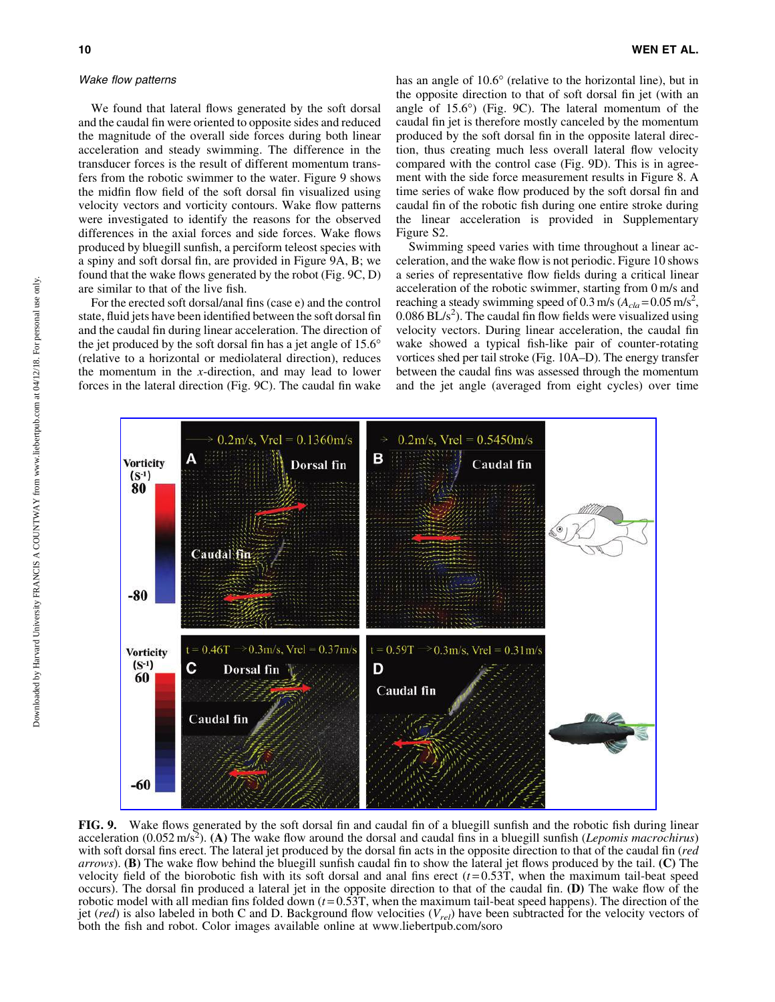#### Wake flow patterns

We found that lateral flows generated by the soft dorsal and the caudal fin were oriented to opposite sides and reduced the magnitude of the overall side forces during both linear acceleration and steady swimming. The difference in the transducer forces is the result of different momentum transfers from the robotic swimmer to the water. Figure 9 shows the midfin flow field of the soft dorsal fin visualized using velocity vectors and vorticity contours. Wake flow patterns were investigated to identify the reasons for the observed differences in the axial forces and side forces. Wake flows produced by bluegill sunfish, a perciform teleost species with a spiny and soft dorsal fin, are provided in Figure 9A, B; we found that the wake flows generated by the robot (Fig. 9C, D) are similar to that of the live fish.

For the erected soft dorsal/anal fins (case e) and the control state, fluid jets have been identified between the soft dorsal fin and the caudal fin during linear acceleration. The direction of the jet produced by the soft dorsal fin has a jet angle of  $15.6^\circ$ (relative to a horizontal or mediolateral direction), reduces the momentum in the *x*-direction, and may lead to lower forces in the lateral direction (Fig. 9C). The caudal fin wake

has an angle of 10.6° (relative to the horizontal line), but in the opposite direction to that of soft dorsal fin jet (with an angle of  $15.6^{\circ}$ ) (Fig. 9C). The lateral momentum of the caudal fin jet is therefore mostly canceled by the momentum produced by the soft dorsal fin in the opposite lateral direction, thus creating much less overall lateral flow velocity compared with the control case (Fig. 9D). This is in agreement with the side force measurement results in Figure 8. A time series of wake flow produced by the soft dorsal fin and caudal fin of the robotic fish during one entire stroke during the linear acceleration is provided in Supplementary Figure S2.

Swimming speed varies with time throughout a linear acceleration, and the wake flow is not periodic. Figure 10 shows a series of representative flow fields during a critical linear acceleration of the robotic swimmer, starting from 0 m/s and reaching a steady swimming speed of  $0.3 \text{ m/s}$  ( $A_{cla} = 0.05 \text{ m/s}^2$ ,  $0.086$  BL/s<sup>2</sup>). The caudal fin flow fields were visualized using velocity vectors. During linear acceleration, the caudal fin wake showed a typical fish-like pair of counter-rotating vortices shed per tail stroke (Fig. 10A–D). The energy transfer between the caudal fins was assessed through the momentum and the jet angle (averaged from eight cycles) over time



FIG. 9. Wake flows generated by the soft dorsal fin and caudal fin of a bluegill sunfish and the robotic fish during linear acceleration (0.052 m/s<sup>2</sup>). (A) The wake flow around the dorsal and caudal fins in a bluegill sunfish (*Lepomis macrochirus*) with soft dorsal fins erect. The lateral jet produced by the dorsal fin acts in the opposite direction to that of the caudal fin (*red arrows*). **(B)** The wake flow behind the bluegill sunfish caudal fin to show the lateral jet flows produced by the tail. **(C)** The velocity field of the biorobotic fish with its soft dorsal and anal fins erect  $(t=0.53T)$ , when the maximum tail-beat speed occurs). The dorsal fin produced a lateral jet in the opposite direction to that of the caudal fin. (D) The wake flow of the robotic model with all median fins folded down  $(t=0.53T)$ , when the maximum tail-beat speed happens). The direction of the jet (*red*) is also labeled in both C and D. Background flow velocities (*Vrel*) have been subtracted for the velocity vectors of both the fish and robot. Color images available online at www.liebertpub.com/soro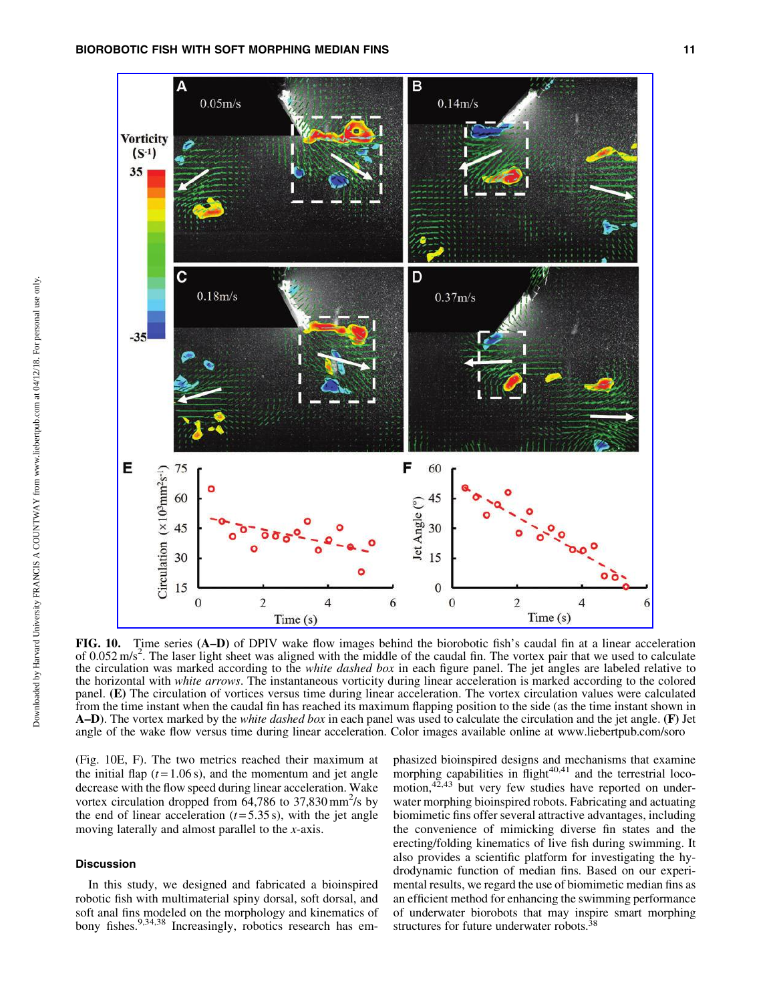

FIG. 10. Time series (A–D) of DPIV wake flow images behind the biorobotic fish's caudal fin at a linear acceleration of 0.052 m/s<sup>2</sup>. The laser light sheet was aligned with the middle of the caudal fin. The vortex pair that we used to calculate the circulation was marked according to the *white dashed box* in each figure panel. The jet angles are labeled relative to the horizontal with *white arrows*. The instantaneous vorticity during linear acceleration is marked according to the colored panel. (E) The circulation of vortices versus time during linear acceleration. The vortex circulation values were calculated from the time instant when the caudal fin has reached its maximum flapping position to the side (as the time instant shown in A–D). The vortex marked by the *white dashed box* in each panel was used to calculate the circulation and the jet angle. (F) Jet angle of the wake flow versus time during linear acceleration. Color images available online at www.liebertpub.com/soro

(Fig. 10E, F). The two metrics reached their maximum at the initial flap  $(t = 1.06 s)$ , and the momentum and jet angle decrease with the flow speed during linear acceleration. Wake vortex circulation dropped from  $64,786$  to  $37,830$  mm<sup>2</sup>/s by the end of linear acceleration  $(t=5.35 s)$ , with the jet angle moving laterally and almost parallel to the *x*-axis.

## Discussion

In this study, we designed and fabricated a bioinspired robotic fish with multimaterial spiny dorsal, soft dorsal, and soft anal fins modeled on the morphology and kinematics of bony fishes.<sup>9,34,38</sup> Increasingly, robotics research has emphasized bioinspired designs and mechanisms that examine morphing capabilities in  $\text{flight}^{40,41}$  and the terrestrial locomotion,<sup>42,43</sup> but very few studies have reported on underwater morphing bioinspired robots. Fabricating and actuating biomimetic fins offer several attractive advantages, including the convenience of mimicking diverse fin states and the erecting/folding kinematics of live fish during swimming. It also provides a scientific platform for investigating the hydrodynamic function of median fins. Based on our experimental results, we regard the use of biomimetic median fins as an efficient method for enhancing the swimming performance of underwater biorobots that may inspire smart morphing structures for future underwater robots.38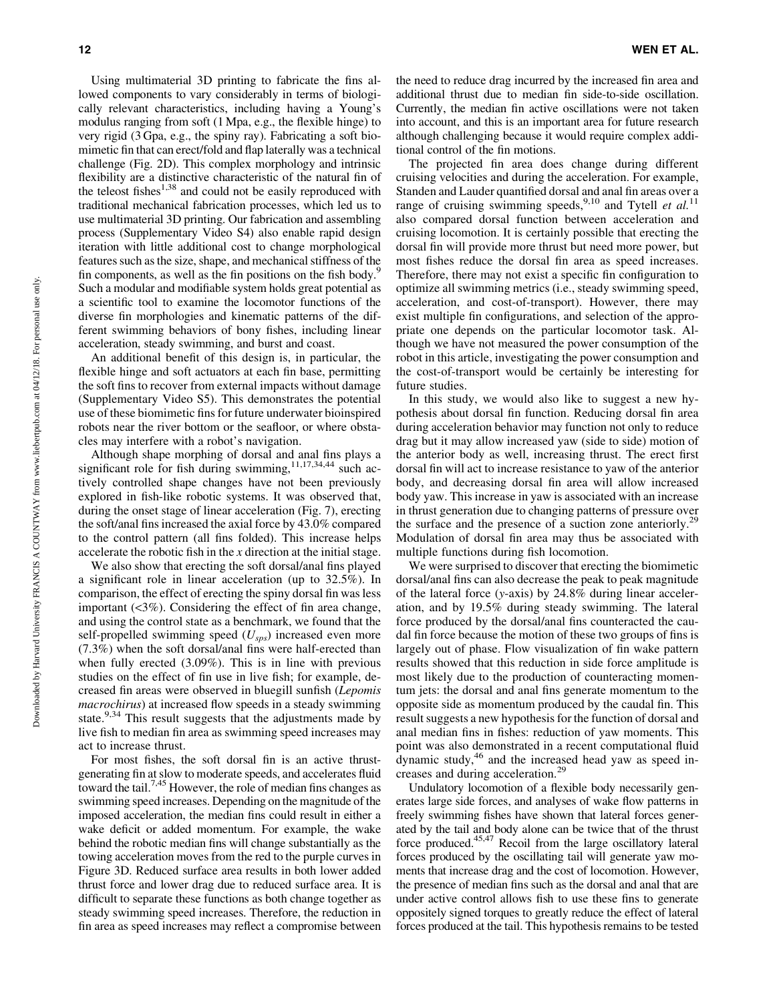Using multimaterial 3D printing to fabricate the fins allowed components to vary considerably in terms of biologically relevant characteristics, including having a Young's modulus ranging from soft (1 Mpa, e.g., the flexible hinge) to very rigid (3 Gpa, e.g., the spiny ray). Fabricating a soft biomimetic fin that can erect/fold and flap laterally was a technical challenge (Fig. 2D). This complex morphology and intrinsic flexibility are a distinctive characteristic of the natural fin of the teleost fishes $1,38$  and could not be easily reproduced with traditional mechanical fabrication processes, which led us to use multimaterial 3D printing. Our fabrication and assembling process (Supplementary Video S4) also enable rapid design iteration with little additional cost to change morphological features such as the size, shape, and mechanical stiffness of the fin components, as well as the fin positions on the fish body. $\frac{5}{3}$ Such a modular and modifiable system holds great potential as a scientific tool to examine the locomotor functions of the diverse fin morphologies and kinematic patterns of the different swimming behaviors of bony fishes, including linear acceleration, steady swimming, and burst and coast.

An additional benefit of this design is, in particular, the flexible hinge and soft actuators at each fin base, permitting the soft fins to recover from external impacts without damage (Supplementary Video S5). This demonstrates the potential use of these biomimetic fins for future underwater bioinspired robots near the river bottom or the seafloor, or where obstacles may interfere with a robot's navigation.

Although shape morphing of dorsal and anal fins plays a significant role for fish during swimming,  $11,17,34,44$  such actively controlled shape changes have not been previously explored in fish-like robotic systems. It was observed that, during the onset stage of linear acceleration (Fig. 7), erecting the soft/anal fins increased the axial force by 43.0% compared to the control pattern (all fins folded). This increase helps accelerate the robotic fish in the *x* direction at the initial stage.

We also show that erecting the soft dorsal/anal fins played a significant role in linear acceleration (up to 32.5%). In comparison, the effect of erecting the spiny dorsal fin was less important (<3%). Considering the effect of fin area change, and using the control state as a benchmark, we found that the self-propelled swimming speed (*Usps*) increased even more (7.3%) when the soft dorsal/anal fins were half-erected than when fully erected (3.09%). This is in line with previous studies on the effect of fin use in live fish; for example, decreased fin areas were observed in bluegill sunfish (*Lepomis macrochirus*) at increased flow speeds in a steady swimming state.<sup>9,34</sup> This result suggests that the adjustments made by live fish to median fin area as swimming speed increases may act to increase thrust.

For most fishes, the soft dorsal fin is an active thrustgenerating fin at slow to moderate speeds, and accelerates fluid toward the tail.<sup>7,45</sup> However, the role of median fins changes as swimming speed increases. Depending on the magnitude of the imposed acceleration, the median fins could result in either a wake deficit or added momentum. For example, the wake behind the robotic median fins will change substantially as the towing acceleration moves from the red to the purple curves in Figure 3D. Reduced surface area results in both lower added thrust force and lower drag due to reduced surface area. It is difficult to separate these functions as both change together as steady swimming speed increases. Therefore, the reduction in fin area as speed increases may reflect a compromise between the need to reduce drag incurred by the increased fin area and additional thrust due to median fin side-to-side oscillation. Currently, the median fin active oscillations were not taken into account, and this is an important area for future research although challenging because it would require complex additional control of the fin motions.

The projected fin area does change during different cruising velocities and during the acceleration. For example, Standen and Lauder quantified dorsal and anal fin areas over a range of cruising swimming speeds,<sup>9,10</sup> and Tytell *et al.*<sup>11</sup> also compared dorsal function between acceleration and cruising locomotion. It is certainly possible that erecting the dorsal fin will provide more thrust but need more power, but most fishes reduce the dorsal fin area as speed increases. Therefore, there may not exist a specific fin configuration to optimize all swimming metrics (i.e., steady swimming speed, acceleration, and cost-of-transport). However, there may exist multiple fin configurations, and selection of the appropriate one depends on the particular locomotor task. Although we have not measured the power consumption of the robot in this article, investigating the power consumption and the cost-of-transport would be certainly be interesting for future studies.

In this study, we would also like to suggest a new hypothesis about dorsal fin function. Reducing dorsal fin area during acceleration behavior may function not only to reduce drag but it may allow increased yaw (side to side) motion of the anterior body as well, increasing thrust. The erect first dorsal fin will act to increase resistance to yaw of the anterior body, and decreasing dorsal fin area will allow increased body yaw. This increase in yaw is associated with an increase in thrust generation due to changing patterns of pressure over the surface and the presence of a suction zone anteriorly.<sup>29</sup> Modulation of dorsal fin area may thus be associated with multiple functions during fish locomotion.

We were surprised to discover that erecting the biomimetic dorsal/anal fins can also decrease the peak to peak magnitude of the lateral force (*y*-axis) by 24.8% during linear acceleration, and by 19.5% during steady swimming. The lateral force produced by the dorsal/anal fins counteracted the caudal fin force because the motion of these two groups of fins is largely out of phase. Flow visualization of fin wake pattern results showed that this reduction in side force amplitude is most likely due to the production of counteracting momentum jets: the dorsal and anal fins generate momentum to the opposite side as momentum produced by the caudal fin. This result suggests a new hypothesis for the function of dorsal and anal median fins in fishes: reduction of yaw moments. This point was also demonstrated in a recent computational fluid dynamic study,46 and the increased head yaw as speed increases and during acceleration.<sup>29</sup>

Undulatory locomotion of a flexible body necessarily generates large side forces, and analyses of wake flow patterns in freely swimming fishes have shown that lateral forces generated by the tail and body alone can be twice that of the thrust force produced.45,47 Recoil from the large oscillatory lateral forces produced by the oscillating tail will generate yaw moments that increase drag and the cost of locomotion. However, the presence of median fins such as the dorsal and anal that are under active control allows fish to use these fins to generate oppositely signed torques to greatly reduce the effect of lateral forces produced at the tail. This hypothesis remains to be tested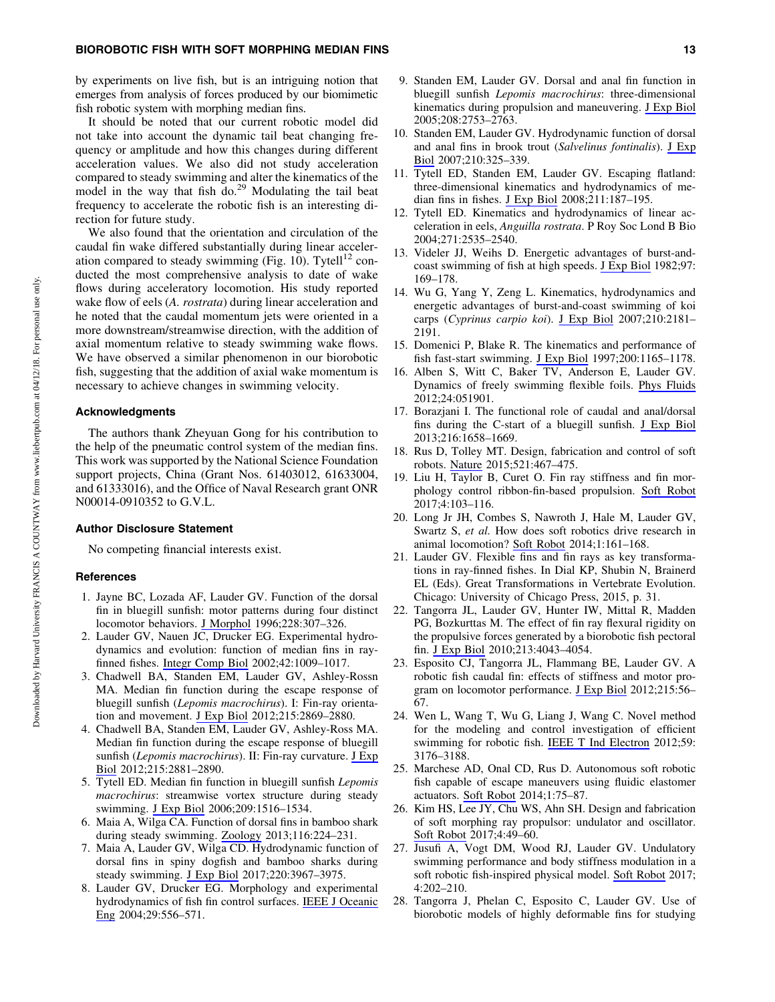by experiments on live fish, but is an intriguing notion that emerges from analysis of forces produced by our biomimetic fish robotic system with morphing median fins.

It should be noted that our current robotic model did not take into account the dynamic tail beat changing frequency or amplitude and how this changes during different acceleration values. We also did not study acceleration compared to steady swimming and alter the kinematics of the model in the way that fish do.<sup>29</sup> Modulating the tail beat frequency to accelerate the robotic fish is an interesting direction for future study.

We also found that the orientation and circulation of the caudal fin wake differed substantially during linear acceleration compared to steady swimming (Fig. 10). Tytell<sup>12</sup> conducted the most comprehensive analysis to date of wake flows during acceleratory locomotion. His study reported wake flow of eels (*A. rostrata*) during linear acceleration and he noted that the caudal momentum jets were oriented in a more downstream/streamwise direction, with the addition of axial momentum relative to steady swimming wake flows. We have observed a similar phenomenon in our biorobotic fish, suggesting that the addition of axial wake momentum is necessary to achieve changes in swimming velocity.

## Acknowledgments

The authors thank Zheyuan Gong for his contribution to the help of the pneumatic control system of the median fins. This work was supported by the National Science Foundation support projects, China (Grant Nos. 61403012, 61633004, and 61333016), and the Office of Naval Research grant ONR N00014-0910352 to G.V.L.

#### Author Disclosure Statement

No competing financial interests exist.

#### **References**

- 1. Jayne BC, Lozada AF, Lauder GV. Function of the dorsal fin in bluegill sunfish: motor patterns during four distinct locomotor behaviors. [J Morphol](https://www.liebertpub.com/action/showLinks?doi=10.1089%2Fsoro.2017.0085&crossref=10.1002%2F%28SICI%291097-4687%28199606%29228%3A3%3C307%3A%3AAID-JMOR3%3E3.0.CO%3B2-Z&citationId=p_3) 1996;228:307–326.
- 2. Lauder GV, Nauen JC, Drucker EG. Experimental hydrodynamics and evolution: function of median fins in rayfinned fishes. [Integr Comp Biol](https://www.liebertpub.com/action/showLinks?doi=10.1089%2Fsoro.2017.0085&pmid=21680382&crossref=10.1093%2Ficb%2F42.5.1009&citationId=p_4) 2002;42:1009–1017.
- 3. Chadwell BA, Standen EM, Lauder GV, Ashley-Rossn MA. Median fin function during the escape response of bluegill sunfish (*Lepomis macrochirus*). I: Fin-ray orientation and movement. [J Exp Biol](https://www.liebertpub.com/action/showLinks?doi=10.1089%2Fsoro.2017.0085&pmid=22837461&crossref=10.1242%2Fjeb.068585&citationId=p_5) 2012;215:2869–2880.
- 4. Chadwell BA, Standen EM, Lauder GV, Ashley-Ross MA. Median fin function during the escape response of bluegill sunfish (*Lepomis macrochirus*). II: Fin-ray curvature. [J Exp](https://www.liebertpub.com/action/showLinks?doi=10.1089%2Fsoro.2017.0085&pmid=22837462&crossref=10.1242%2Fjeb.068593&citationId=p_6) [Biol](https://www.liebertpub.com/action/showLinks?doi=10.1089%2Fsoro.2017.0085&pmid=22837462&crossref=10.1242%2Fjeb.068593&citationId=p_6) 2012;215:2881–2890.
- 5. Tytell ED. Median fin function in bluegill sunfish *Lepomis macrochirus*: streamwise vortex structure during steady swimming. [J Exp Biol](https://www.liebertpub.com/action/showLinks?doi=10.1089%2Fsoro.2017.0085&pmid=16574809&crossref=10.1242%2Fjeb.02154&citationId=p_7) 2006;209:1516–1534.
- 6. Maia A, Wilga CA. Function of dorsal fins in bamboo shark during steady swimming. [Zoology](https://www.liebertpub.com/action/showLinks?doi=10.1089%2Fsoro.2017.0085&pmid=23830781&crossref=10.1016%2Fj.zool.2013.05.001&citationId=p_8) 2013;116:224–231.
- 7. Maia A, Lauder GV, Wilga CD. Hydrodynamic function of dorsal fins in spiny dogfish and bamboo sharks during steady swimming. [J Exp Biol](https://www.liebertpub.com/action/showLinks?doi=10.1089%2Fsoro.2017.0085&pmid=28883085&citationId=p_9) 2017;220:3967–3975.
- 8. Lauder GV, Drucker EG. Morphology and experimental hydrodynamics of fish fin control surfaces. [IEEE J Oceanic](https://www.liebertpub.com/action/showLinks?doi=10.1089%2Fsoro.2017.0085&crossref=10.1109%2FJOE.2004.833219&citationId=p_10) [Eng](https://www.liebertpub.com/action/showLinks?doi=10.1089%2Fsoro.2017.0085&crossref=10.1109%2FJOE.2004.833219&citationId=p_10) 2004;29:556–571.
- 9. Standen EM, Lauder GV. Dorsal and anal fin function in bluegill sunfish *Lepomis macrochirus*: three-dimensional kinematics during propulsion and maneuvering. [J Exp Biol](https://www.liebertpub.com/action/showLinks?doi=10.1089%2Fsoro.2017.0085&pmid=16000544&crossref=10.1242%2Fjeb.01706&citationId=p_11) 2005;208:2753–2763.
- 10. Standen EM, Lauder GV. Hydrodynamic function of dorsal and anal fins in brook trout (*Salvelinus fontinalis*). [J Exp](https://www.liebertpub.com/action/showLinks?doi=10.1089%2Fsoro.2017.0085&pmid=17210968&crossref=10.1242%2Fjeb.02661&citationId=p_12) [Biol](https://www.liebertpub.com/action/showLinks?doi=10.1089%2Fsoro.2017.0085&pmid=17210968&crossref=10.1242%2Fjeb.02661&citationId=p_12) 2007;210:325–339.
- 11. Tytell ED, Standen EM, Lauder GV. Escaping flatland: three-dimensional kinematics and hydrodynamics of median fins in fishes. [J Exp Biol](https://www.liebertpub.com/action/showLinks?doi=10.1089%2Fsoro.2017.0085&pmid=18165246&crossref=10.1242%2Fjeb.008128&citationId=p_13) 2008;211:187–195.
- 12. Tytell ED. Kinematics and hydrodynamics of linear acceleration in eels, *Anguilla rostrata*. P Roy Soc Lond B Bio 2004;271:2535–2540.
- 13. Videler JJ, Weihs D. Energetic advantages of burst-andcoast swimming of fish at high speeds. [J Exp Biol](https://www.liebertpub.com/action/showLinks?doi=10.1089%2Fsoro.2017.0085&pmid=7086338&citationId=p_15) 1982;97: 169–178.
- 14. Wu G, Yang Y, Zeng L. Kinematics, hydrodynamics and energetic advantages of burst-and-coast swimming of koi carps (*Cyprinus carpio koi*). [J Exp Biol](https://www.liebertpub.com/action/showLinks?doi=10.1089%2Fsoro.2017.0085&pmid=17562892&crossref=10.1242%2Fjeb.001842&citationId=p_16) 2007;210:2181– 2191.
- 15. Domenici P, Blake R. The kinematics and performance of fish fast-start swimming. [J Exp Biol](https://www.liebertpub.com/action/showLinks?doi=10.1089%2Fsoro.2017.0085&pmid=9319004&citationId=p_17) 1997;200:1165–1178.
- 16. Alben S, Witt C, Baker TV, Anderson E, Lauder GV. Dynamics of freely swimming flexible foils. [Phys Fluids](https://www.liebertpub.com/action/showLinks?doi=10.1089%2Fsoro.2017.0085&crossref=10.1063%2F1.4709477&citationId=p_18) 2012;24:051901.
- 17. Borazjani I. The functional role of caudal and anal/dorsal fins during the C-start of a bluegill sunfish. [J Exp Biol](https://www.liebertpub.com/action/showLinks?doi=10.1089%2Fsoro.2017.0085&pmid=23307797&crossref=10.1242%2Fjeb.079434&citationId=p_19) 2013;216:1658–1669.
- 18. Rus D, Tolley MT. Design, fabrication and control of soft robots. [Nature](https://www.liebertpub.com/action/showLinks?doi=10.1089%2Fsoro.2017.0085&pmid=26017446&crossref=10.1038%2Fnature14543&citationId=p_20) 2015;521:467–475.
- 19. Liu H, Taylor B, Curet O. Fin ray stiffness and fin morphology control ribbon-fin-based propulsion. [Soft Robot](https://www.liebertpub.com/action/showLinks?doi=10.1089%2Fsoro.2017.0085&system=10.1089%2Fsoro.2016.0040&citationId=p_21) 2017;4:103–116.
- 20. Long Jr JH, Combes S, Nawroth J, Hale M, Lauder GV, Swartz S, *et al.* How does soft robotics drive research in animal locomotion? [Soft Robot](https://www.liebertpub.com/action/showLinks?doi=10.1089%2Fsoro.2017.0085&system=10.1089%2Fsoro.2014.1502&citationId=p_22) 2014;1:161–168.
- 21. Lauder GV. Flexible fins and fin rays as key transformations in ray-finned fishes. In Dial KP, Shubin N, Brainerd EL (Eds). Great Transformations in Vertebrate Evolution. Chicago: University of Chicago Press, 2015, p. 31.
- 22. Tangorra JL, Lauder GV, Hunter IW, Mittal R, Madden PG, Bozkurttas M. The effect of fin ray flexural rigidity on the propulsive forces generated by a biorobotic fish pectoral fin. [J Exp Biol](https://www.liebertpub.com/action/showLinks?doi=10.1089%2Fsoro.2017.0085&pmid=21075946&crossref=10.1242%2Fjeb.048017&citationId=p_24) 2010;213:4043–4054.
- 23. Esposito CJ, Tangorra JL, Flammang BE, Lauder GV. A robotic fish caudal fin: effects of stiffness and motor program on locomotor performance. [J Exp Biol](https://www.liebertpub.com/action/showLinks?doi=10.1089%2Fsoro.2017.0085&pmid=22162853&crossref=10.1242%2Fjeb.062711&citationId=p_25) 2012;215:56– 67.
- 24. Wen L, Wang T, Wu G, Liang J, Wang C. Novel method for the modeling and control investigation of efficient swimming for robotic fish. [IEEE T Ind Electron](https://www.liebertpub.com/action/showLinks?doi=10.1089%2Fsoro.2017.0085&crossref=10.1109%2FTIE.2011.2151812&citationId=p_26) 2012;59: 3176–3188.
- 25. Marchese AD, Onal CD, Rus D. Autonomous soft robotic fish capable of escape maneuvers using fluidic elastomer actuators. [Soft Robot](https://www.liebertpub.com/action/showLinks?doi=10.1089%2Fsoro.2017.0085&system=10.1089%2Fsoro.2013.0009&citationId=p_27) 2014;1:75–87.
- 26. Kim HS, Lee JY, Chu WS, Ahn SH. Design and fabrication of soft morphing ray propulsor: undulator and oscillator. [Soft Robot](https://www.liebertpub.com/action/showLinks?doi=10.1089%2Fsoro.2017.0085&system=10.1089%2Fsoro.2016.0033&citationId=p_28) 2017;4:49–60.
- 27. Jusufi A, Vogt DM, Wood RJ, Lauder GV. Undulatory swimming performance and body stiffness modulation in a soft robotic fish-inspired physical model. [Soft Robot](https://www.liebertpub.com/action/showLinks?doi=10.1089%2Fsoro.2017.0085&system-d=10.1089%2Fsoro.2016.0053&citationId=p_29) 2017; 4:202–210.
- 28. Tangorra J, Phelan C, Esposito C, Lauder GV. Use of biorobotic models of highly deformable fins for studying